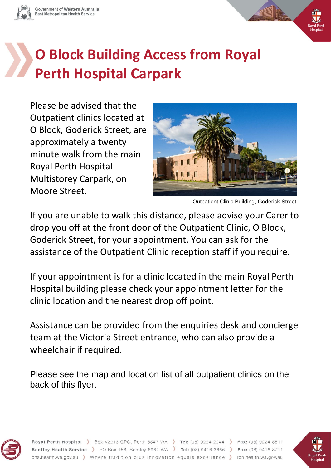

# **O Block Building Access from Royal Perth Hospital Carpark**

Please be advised that the Outpatient clinics located at O Block, Goderick Street, are approximately a twenty minute walk from the main Royal Perth Hospital Multistorey Carpark, on Moore Street.



Outpatient Clinic Building, Goderick Street

If you are unable to walk this distance, please advise your Carer to drop you off at the front door of the Outpatient Clinic, O Block, Goderick Street, for your appointment. You can ask for the assistance of the Outpatient Clinic reception staff if you require.

If your appointment is for a clinic located in the main Royal Perth Hospital building please check your appointment letter for the clinic location and the nearest drop off point.

Assistance can be provided from the enquiries desk and concierge team at the Victoria Street entrance, who can also provide a wheelchair if required.

Please see the map and location list of all outpatient clinics on the back of this flyer.